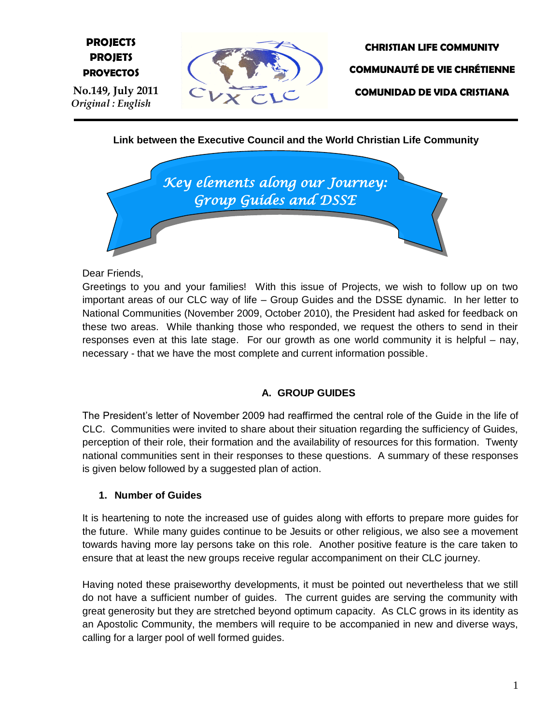# **E PROJETS PROJECTS PROYECTOS**







**Link between the Executive Council and the World Christian Life Community**



Dear Friends,

Greetings to you and your families! With this issue of Projects, we wish to follow up on two important areas of our CLC way of life – Group Guides and the DSSE dynamic. In her letter to National Communities (November 2009, October 2010), the President had asked for feedback on these two areas. While thanking those who responded, we request the others to send in their responses even at this late stage. For our growth as one world community it is helpful – nay, necessary - that we have the most complete and current information possible.

#### **A. GROUP GUIDES**

The President"s letter of November 2009 had reaffirmed the central role of the Guide in the life of CLC. Communities were invited to share about their situation regarding the sufficiency of Guides, perception of their role, their formation and the availability of resources for this formation. Twenty national communities sent in their responses to these questions. A summary of these responses is given below followed by a suggested plan of action.

#### **1. Number of Guides**

It is heartening to note the increased use of guides along with efforts to prepare more guides for the future. While many guides continue to be Jesuits or other religious, we also see a movement towards having more lay persons take on this role. Another positive feature is the care taken to ensure that at least the new groups receive regular accompaniment on their CLC journey.

Having noted these praiseworthy developments, it must be pointed out nevertheless that we still do not have a sufficient number of guides. The current guides are serving the community with great generosity but they are stretched beyond optimum capacity. As CLC grows in its identity as an Apostolic Community, the members will require to be accompanied in new and diverse ways, calling for a larger pool of well formed guides.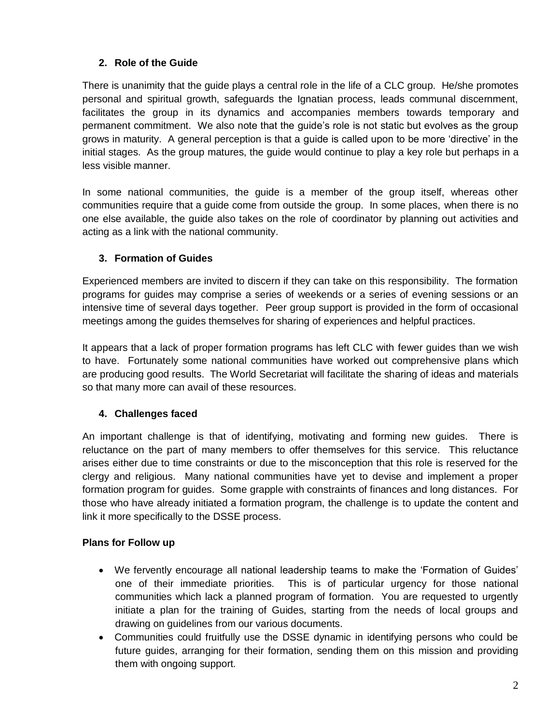## **2. Role of the Guide**

There is unanimity that the guide plays a central role in the life of a CLC group. He/she promotes personal and spiritual growth, safeguards the Ignatian process, leads communal discernment, facilitates the group in its dynamics and accompanies members towards temporary and permanent commitment. We also note that the guide"s role is not static but evolves as the group grows in maturity. A general perception is that a guide is called upon to be more "directive" in the initial stages. As the group matures, the guide would continue to play a key role but perhaps in a less visible manner.

In some national communities, the guide is a member of the group itself, whereas other communities require that a guide come from outside the group. In some places, when there is no one else available, the guide also takes on the role of coordinator by planning out activities and acting as a link with the national community.

## **3. Formation of Guides**

Experienced members are invited to discern if they can take on this responsibility. The formation programs for guides may comprise a series of weekends or a series of evening sessions or an intensive time of several days together. Peer group support is provided in the form of occasional meetings among the guides themselves for sharing of experiences and helpful practices.

It appears that a lack of proper formation programs has left CLC with fewer guides than we wish to have. Fortunately some national communities have worked out comprehensive plans which are producing good results. The World Secretariat will facilitate the sharing of ideas and materials so that many more can avail of these resources.

# **4. Challenges faced**

An important challenge is that of identifying, motivating and forming new guides. There is reluctance on the part of many members to offer themselves for this service. This reluctance arises either due to time constraints or due to the misconception that this role is reserved for the clergy and religious. Many national communities have yet to devise and implement a proper formation program for guides. Some grapple with constraints of finances and long distances. For those who have already initiated a formation program, the challenge is to update the content and link it more specifically to the DSSE process.

## **Plans for Follow up**

- We fervently encourage all national leadership teams to make the "Formation of Guides" one of their immediate priorities. This is of particular urgency for those national communities which lack a planned program of formation. You are requested to urgently initiate a plan for the training of Guides, starting from the needs of local groups and drawing on guidelines from our various documents.
- Communities could fruitfully use the DSSE dynamic in identifying persons who could be future guides, arranging for their formation, sending them on this mission and providing them with ongoing support.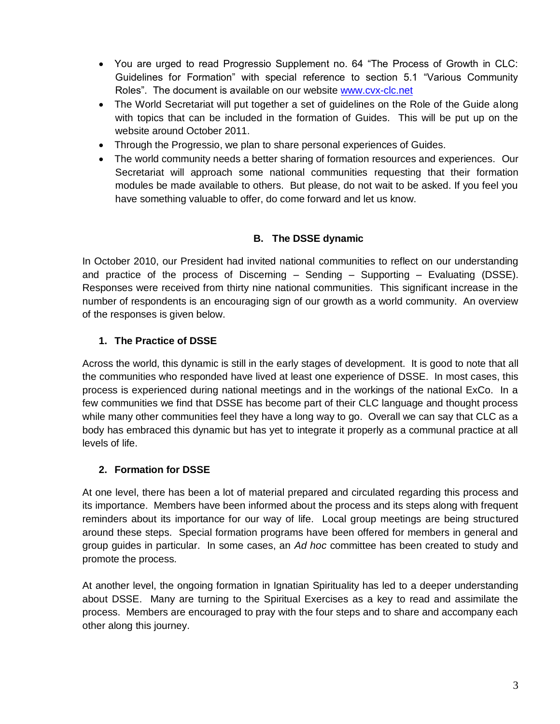- You are urged to read Progressio Supplement no. 64 "The Process of Growth in CLC: Guidelines for Formation" with special reference to section 5.1 "Various Community Roles". The document is available on our website [www.cvx-clc.net](http://www.cvx-clc.net/)
- The World Secretariat will put together a set of guidelines on the Role of the Guide along with topics that can be included in the formation of Guides. This will be put up on the website around October 2011.
- Through the Progressio, we plan to share personal experiences of Guides.
- The world community needs a better sharing of formation resources and experiences. Our Secretariat will approach some national communities requesting that their formation modules be made available to others. But please, do not wait to be asked. If you feel you have something valuable to offer, do come forward and let us know.

## **B. The DSSE dynamic**

In October 2010, our President had invited national communities to reflect on our understanding and practice of the process of Discerning – Sending – Supporting – Evaluating (DSSE). Responses were received from thirty nine national communities. This significant increase in the number of respondents is an encouraging sign of our growth as a world community. An overview of the responses is given below.

## **1. The Practice of DSSE**

Across the world, this dynamic is still in the early stages of development. It is good to note that all the communities who responded have lived at least one experience of DSSE. In most cases, this process is experienced during national meetings and in the workings of the national ExCo. In a few communities we find that DSSE has become part of their CLC language and thought process while many other communities feel they have a long way to go. Overall we can say that CLC as a body has embraced this dynamic but has yet to integrate it properly as a communal practice at all levels of life.

## **2. Formation for DSSE**

At one level, there has been a lot of material prepared and circulated regarding this process and its importance. Members have been informed about the process and its steps along with frequent reminders about its importance for our way of life. Local group meetings are being structured around these steps. Special formation programs have been offered for members in general and group guides in particular. In some cases, an *Ad hoc* committee has been created to study and promote the process.

At another level, the ongoing formation in Ignatian Spirituality has led to a deeper understanding about DSSE. Many are turning to the Spiritual Exercises as a key to read and assimilate the process. Members are encouraged to pray with the four steps and to share and accompany each other along this journey.